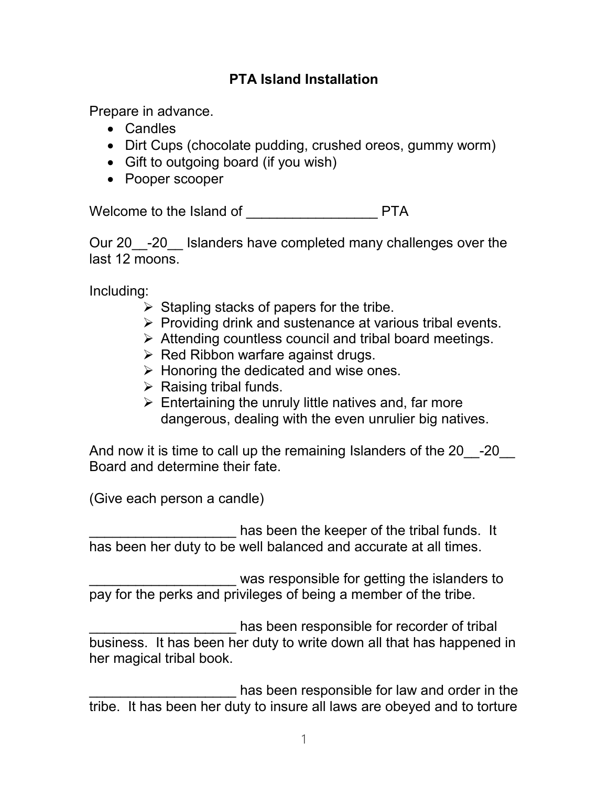## **PTA Island Installation**

Prepare in advance.

- Candles
- Dirt Cups (chocolate pudding, crushed oreos, gummy worm)
- Gift to outgoing board (if you wish)
- Pooper scooper

Welcome to the Island of **EXALL PROPERTY** PTA

Our 20 -20 Islanders have completed many challenges over the last 12 moons.

Including:

- $\triangleright$  Stapling stacks of papers for the tribe.
- $\triangleright$  Providing drink and sustenance at various tribal events.
- $\triangleright$  Attending countless council and tribal board meetings.
- $\triangleright$  Red Ribbon warfare against drugs.
- $\triangleright$  Honoring the dedicated and wise ones.
- $\triangleright$  Raising tribal funds.
- $\triangleright$  Entertaining the unruly little natives and, far more dangerous, dealing with the even unrulier big natives.

And now it is time to call up the remaining Islanders of the 20 -20 Board and determine their fate.

(Give each person a candle)

has been the keeper of the tribal funds. It has been her duty to be well balanced and accurate at all times.

was responsible for getting the islanders to pay for the perks and privileges of being a member of the tribe.

has been responsible for recorder of tribal business. It has been her duty to write down all that has happened in her magical tribal book.

has been responsible for law and order in the tribe. It has been her duty to insure all laws are obeyed and to torture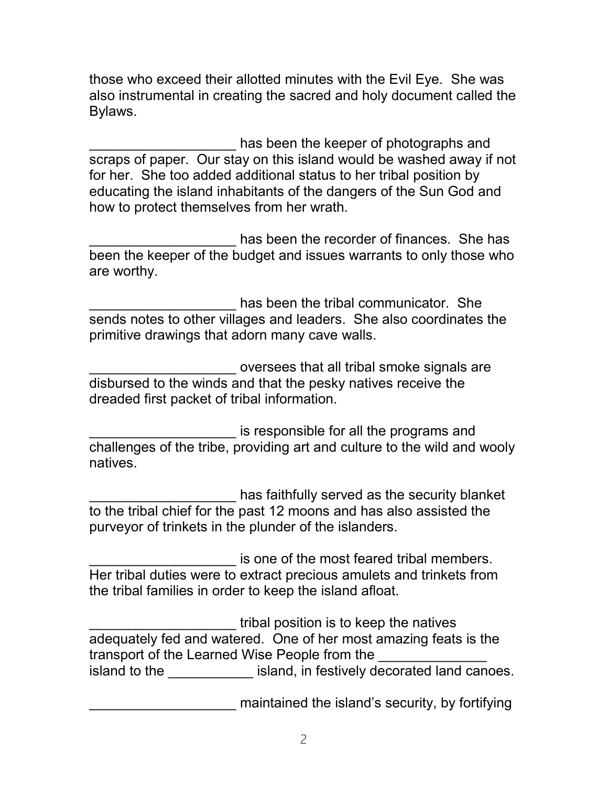those who exceed their allotted minutes with the Evil Eye. She was also instrumental in creating the sacred and holy document called the Bylaws.

has been the keeper of photographs and scraps of paper. Our stay on this island would be washed away if not for her. She too added additional status to her tribal position by educating the island inhabitants of the dangers of the Sun God and how to protect themselves from her wrath.

has been the recorder of finances. She has been the keeper of the budget and issues warrants to only those who are worthy.

has been the tribal communicator. She sends notes to other villages and leaders. She also coordinates the primitive drawings that adorn many cave walls.

\_\_\_\_\_\_\_\_\_\_\_\_\_\_\_\_\_\_\_ oversees that all tribal smoke signals are disbursed to the winds and that the pesky natives receive the dreaded first packet of tribal information.

is responsible for all the programs and challenges of the tribe, providing art and culture to the wild and wooly natives.

has faithfully served as the security blanket to the tribal chief for the past 12 moons and has also assisted the purveyor of trinkets in the plunder of the islanders.

is one of the most feared tribal members. Her tribal duties were to extract precious amulets and trinkets from the tribal families in order to keep the island afloat.

\_\_\_\_\_\_\_\_\_\_\_\_\_\_\_\_\_\_\_ tribal position is to keep the natives adequately fed and watered. One of her most amazing feats is the transport of the Learned Wise People from the island to the \_\_\_\_\_\_\_\_\_\_\_\_\_\_ island, in festively decorated land canoes.

maintained the island's security, by fortifying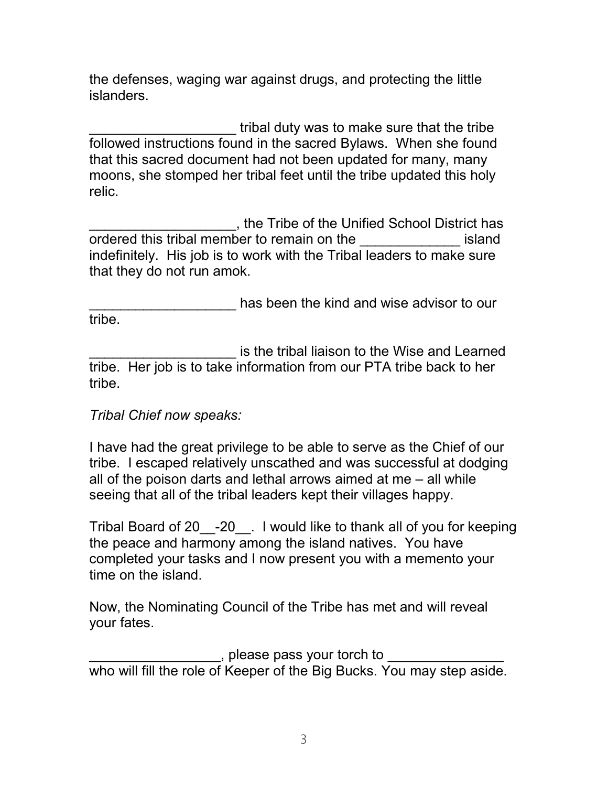the defenses, waging war against drugs, and protecting the little islanders.

tribal duty was to make sure that the tribe followed instructions found in the sacred Bylaws. When she found that this sacred document had not been updated for many, many moons, she stomped her tribal feet until the tribe updated this holy relic.

\_\_\_\_\_\_\_\_\_\_\_\_\_\_\_\_\_\_\_, the Tribe of the Unified School District has ordered this tribal member to remain on the example island indefinitely. His job is to work with the Tribal leaders to make sure that they do not run amok.

**EXECUTE:** has been the kind and wise advisor to our tribe.

\_\_\_\_\_\_\_\_\_\_\_\_\_\_\_\_\_\_\_ is the tribal liaison to the Wise and Learned tribe. Her job is to take information from our PTA tribe back to her tribe.

## *Tribal Chief now speaks:*

I have had the great privilege to be able to serve as the Chief of our tribe. I escaped relatively unscathed and was successful at dodging all of the poison darts and lethal arrows aimed at me – all while seeing that all of the tribal leaders kept their villages happy.

Tribal Board of 20\_\_-20\_\_. I would like to thank all of you for keeping the peace and harmony among the island natives. You have completed your tasks and I now present you with a memento your time on the island.

Now, the Nominating Council of the Tribe has met and will reveal your fates.

 $\Box$ , please pass your torch to who will fill the role of Keeper of the Big Bucks. You may step aside.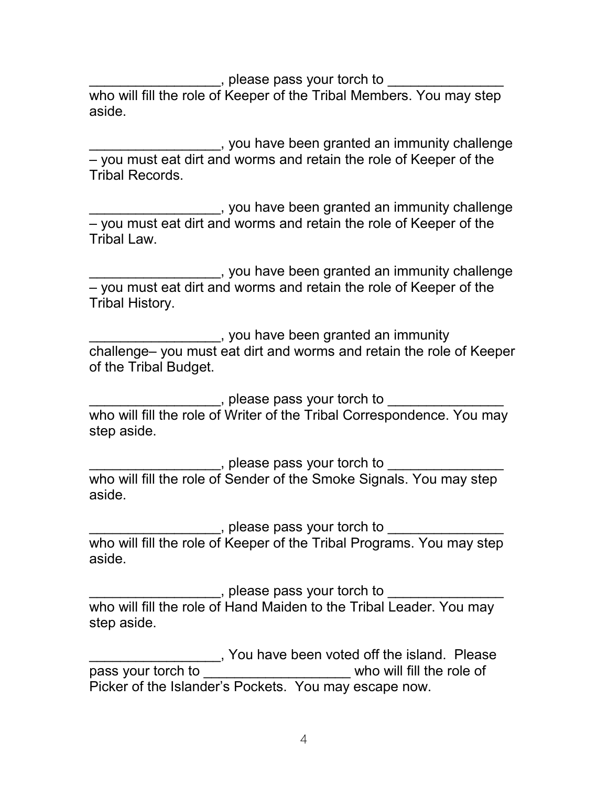, please pass your torch to  $\overline{\phantom{a}}$ who will fill the role of Keeper of the Tribal Members. You may step aside.

**EXECUTE:** you have been granted an immunity challenge – you must eat dirt and worms and retain the role of Keeper of the Tribal Records.

\_\_\_\_\_\_\_\_\_\_\_\_\_\_\_\_\_, you have been granted an immunity challenge – you must eat dirt and worms and retain the role of Keeper of the Tribal Law.

\_\_\_\_\_\_\_\_\_\_\_\_\_\_\_\_\_, you have been granted an immunity challenge – you must eat dirt and worms and retain the role of Keeper of the Tribal History.

\_\_\_\_\_\_\_\_\_\_\_\_\_\_\_\_\_, you have been granted an immunity challenge– you must eat dirt and worms and retain the role of Keeper of the Tribal Budget.

\_\_\_\_\_\_\_\_\_\_\_\_\_\_\_\_\_\_\_\_\_, please pass your torch to \_\_\_\_\_\_\_\_\_\_\_\_\_\_\_\_\_\_ who will fill the role of Writer of the Tribal Correspondence. You may step aside.

\_\_\_\_\_\_\_\_\_\_\_\_\_\_\_\_\_\_\_\_\_, please pass your torch to \_\_\_\_\_\_\_\_\_\_\_\_\_\_\_\_\_\_ who will fill the role of Sender of the Smoke Signals. You may step aside.

\_\_\_\_\_\_\_\_\_\_\_\_\_\_\_\_\_\_, please pass your torch to \_\_\_\_\_\_\_\_\_\_\_\_\_\_\_\_\_\_ who will fill the role of Keeper of the Tribal Programs. You may step aside.

\_\_\_\_\_\_\_\_\_\_\_\_\_\_\_\_\_\_\_\_\_, please pass your torch to \_\_\_\_\_\_\_\_\_\_\_\_\_\_\_\_\_\_ who will fill the role of Hand Maiden to the Tribal Leader. You may step aside.

\_\_\_\_\_\_\_\_\_\_\_\_\_\_\_\_\_, You have been voted off the island. Please pass your torch to \_\_\_\_\_\_\_\_\_\_\_\_\_\_\_\_\_\_\_\_\_\_ who will fill the role of Picker of the Islander's Pockets. You may escape now.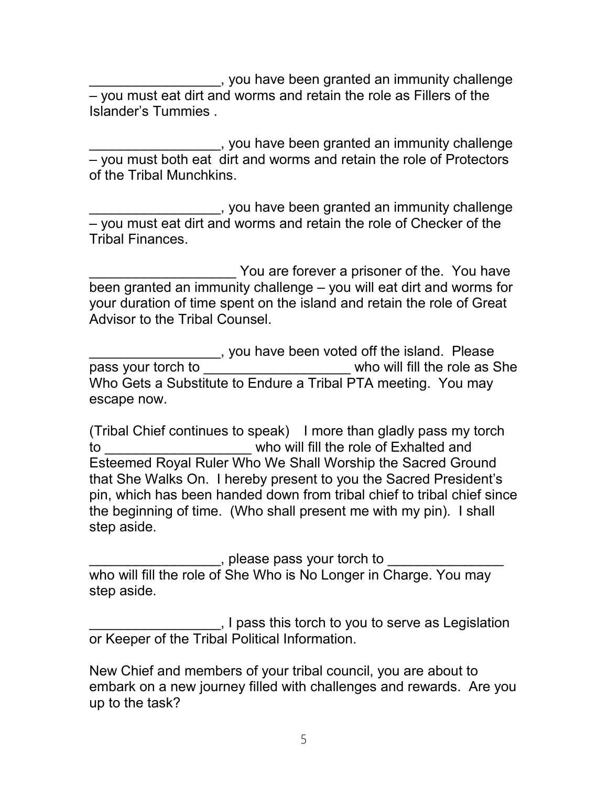\_\_\_\_\_\_\_\_\_\_\_\_\_\_\_\_\_, you have been granted an immunity challenge – you must eat dirt and worms and retain the role as Fillers of the Islander's Tummies .

\_\_\_\_\_\_\_\_\_\_\_\_\_\_\_\_\_, you have been granted an immunity challenge – you must both eat dirt and worms and retain the role of Protectors of the Tribal Munchkins.

\_\_\_\_\_\_\_\_\_\_\_\_\_\_\_\_\_, you have been granted an immunity challenge – you must eat dirt and worms and retain the role of Checker of the Tribal Finances.

You are forever a prisoner of the. You have been granted an immunity challenge – you will eat dirt and worms for your duration of time spent on the island and retain the role of Great Advisor to the Tribal Counsel.

\_\_\_\_\_\_\_\_\_\_\_\_\_\_\_\_\_, you have been voted off the island. Please who will fill the role as She Who Gets a Substitute to Endure a Tribal PTA meeting. You may escape now.

(Tribal Chief continues to speak) I more than gladly pass my torch to **the summand who will fill the role of Exhalted and** Esteemed Royal Ruler Who We Shall Worship the Sacred Ground that She Walks On. I hereby present to you the Sacred President's pin, which has been handed down from tribal chief to tribal chief since the beginning of time. (Who shall present me with my pin). I shall step aside.

, please pass your torch to

who will fill the role of She Who is No Longer in Charge. You may step aside.

\_\_\_\_\_\_\_\_\_\_\_\_\_\_\_\_\_, I pass this torch to you to serve as Legislation or Keeper of the Tribal Political Information.

New Chief and members of your tribal council, you are about to embark on a new journey filled with challenges and rewards. Are you up to the task?